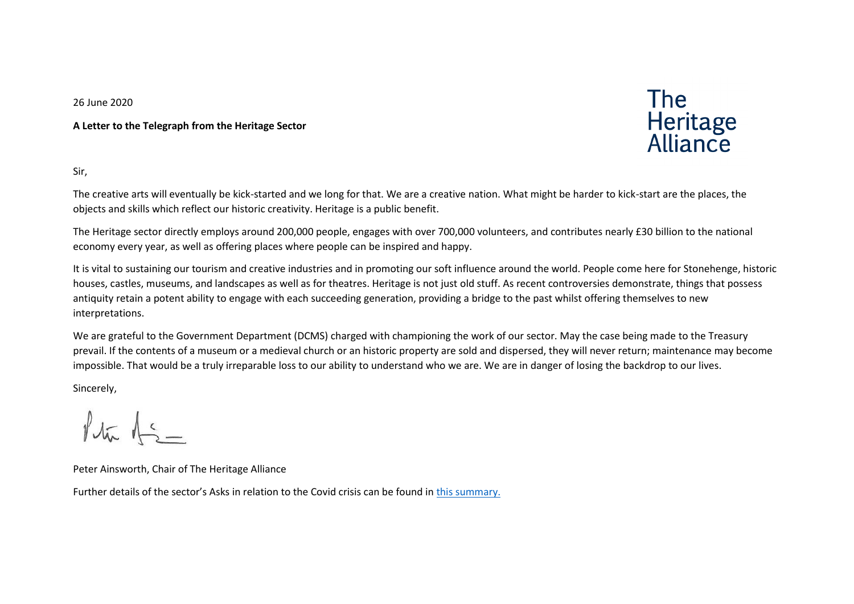26 June 2020

**A Letter to the Telegraph from the Heritage Sector**



Sir,

The creative arts will eventually be kick-started and we long for that. We are a creative nation. What might be harder to kick-start are the places, the objects and skills which reflect our historic creativity. Heritage is a public benefit.

The Heritage sector directly employs around 200,000 people, engages with over 700,000 volunteers, and contributes nearly £30 billion to the national economy every year, as well as offering places where people can be inspired and happy.

It is vital to sustaining our tourism and creative industries and in promoting our soft influence around the world. People come here for Stonehenge, historic houses, castles, museums, and landscapes as well as for theatres. Heritage is not just old stuff. As recent controversies demonstrate, things that possess antiquity retain a potent ability to engage with each succeeding generation, providing a bridge to the past whilst offering themselves to new interpretations.

We are grateful to the Government Department (DCMS) charged with championing the work of our sector. May the case being made to the Treasury prevail. If the contents of a museum or a medieval church or an historic property are sold and dispersed, they will never return; maintenance may become impossible. That would be a truly irreparable loss to our ability to understand who we are. We are in danger of losing the backdrop to our lives.

Sincerely,

 $14\pi$   $15-$ 

Peter Ainsworth, Chair of The Heritage Alliance

Further details of the sector's Asks in relation to the Covid crisis can be found in [this summary.](https://www.theheritagealliance.org.uk/wp-content/uploads/2020/06/THA-Key-Asks-24-June-2020.pdf)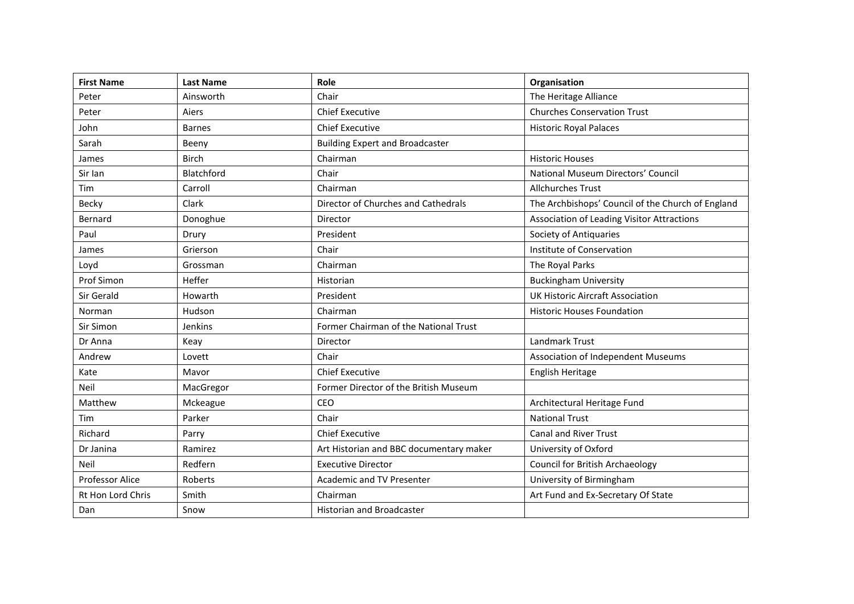| <b>First Name</b>        | <b>Last Name</b> | Role                                    | Organisation                                      |
|--------------------------|------------------|-----------------------------------------|---------------------------------------------------|
| Peter                    | Ainsworth        | Chair                                   | The Heritage Alliance                             |
| Peter                    | Aiers            | <b>Chief Executive</b>                  | <b>Churches Conservation Trust</b>                |
| John                     | <b>Barnes</b>    | <b>Chief Executive</b>                  | <b>Historic Royal Palaces</b>                     |
| Sarah                    | Beeny            | <b>Building Expert and Broadcaster</b>  |                                                   |
| James                    | <b>Birch</b>     | Chairman                                | <b>Historic Houses</b>                            |
| Sir Ian                  | Blatchford       | Chair                                   | National Museum Directors' Council                |
| Tim                      | Carroll          | Chairman                                | <b>Allchurches Trust</b>                          |
| Becky                    | Clark            | Director of Churches and Cathedrals     | The Archbishops' Council of the Church of England |
| Bernard                  | Donoghue         | Director                                | Association of Leading Visitor Attractions        |
| Paul                     | Drury            | President                               | Society of Antiquaries                            |
| James                    | Grierson         | Chair                                   | Institute of Conservation                         |
| Loyd                     | Grossman         | Chairman                                | The Royal Parks                                   |
| Prof Simon               | Heffer           | Historian                               | <b>Buckingham University</b>                      |
| Sir Gerald               | Howarth          | President                               | UK Historic Aircraft Association                  |
| Norman                   | Hudson           | Chairman                                | <b>Historic Houses Foundation</b>                 |
| Sir Simon                | Jenkins          | Former Chairman of the National Trust   |                                                   |
| Dr Anna                  | Keay             | Director                                | Landmark Trust                                    |
| Andrew                   | Lovett           | Chair                                   | <b>Association of Independent Museums</b>         |
| Kate                     | Mavor            | <b>Chief Executive</b>                  | English Heritage                                  |
| Neil                     | MacGregor        | Former Director of the British Museum   |                                                   |
| Matthew                  | Mckeague         | CEO                                     | Architectural Heritage Fund                       |
| Tim                      | Parker           | Chair                                   | <b>National Trust</b>                             |
| Richard                  | Parry            | <b>Chief Executive</b>                  | <b>Canal and River Trust</b>                      |
| Dr Janina                | Ramirez          | Art Historian and BBC documentary maker | University of Oxford                              |
| Neil                     | Redfern          | <b>Executive Director</b>               | <b>Council for British Archaeology</b>            |
| <b>Professor Alice</b>   | Roberts          | Academic and TV Presenter               | University of Birmingham                          |
| <b>Rt Hon Lord Chris</b> | Smith            | Chairman                                | Art Fund and Ex-Secretary Of State                |
| Dan                      | Snow             | <b>Historian and Broadcaster</b>        |                                                   |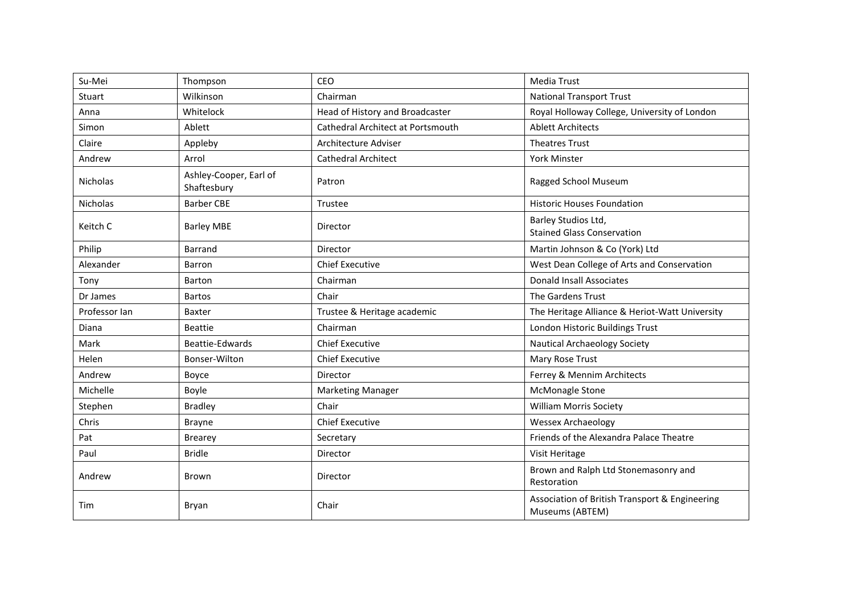| Su-Mei        | Thompson                              | <b>CEO</b>                        | <b>Media Trust</b>                                                |
|---------------|---------------------------------------|-----------------------------------|-------------------------------------------------------------------|
| Stuart        | Wilkinson                             | Chairman                          | <b>National Transport Trust</b>                                   |
| Anna          | Whitelock                             | Head of History and Broadcaster   | Royal Holloway College, University of London                      |
| Simon         | Ablett                                | Cathedral Architect at Portsmouth | <b>Ablett Architects</b>                                          |
| Claire        | Appleby                               | Architecture Adviser              | <b>Theatres Trust</b>                                             |
| Andrew        | Arrol                                 | <b>Cathedral Architect</b>        | York Minster                                                      |
| Nicholas      | Ashley-Cooper, Earl of<br>Shaftesbury | Patron                            | Ragged School Museum                                              |
| Nicholas      | <b>Barber CBE</b>                     | Trustee                           | <b>Historic Houses Foundation</b>                                 |
| Keitch C      | <b>Barley MBE</b>                     | Director                          | Barley Studios Ltd,<br><b>Stained Glass Conservation</b>          |
| Philip        | <b>Barrand</b>                        | Director                          | Martin Johnson & Co (York) Ltd                                    |
| Alexander     | Barron                                | <b>Chief Executive</b>            | West Dean College of Arts and Conservation                        |
| Tony          | Barton                                | Chairman                          | <b>Donald Insall Associates</b>                                   |
| Dr James      | <b>Bartos</b>                         | Chair                             | The Gardens Trust                                                 |
| Professor Ian | <b>Baxter</b>                         | Trustee & Heritage academic       | The Heritage Alliance & Heriot-Watt University                    |
| Diana         | <b>Beattie</b>                        | Chairman                          | London Historic Buildings Trust                                   |
| Mark          | Beattie-Edwards                       | <b>Chief Executive</b>            | <b>Nautical Archaeology Society</b>                               |
| Helen         | Bonser-Wilton                         | <b>Chief Executive</b>            | Mary Rose Trust                                                   |
| Andrew        | Boyce                                 | Director                          | Ferrey & Mennim Architects                                        |
| Michelle      | Boyle                                 | <b>Marketing Manager</b>          | McMonagle Stone                                                   |
| Stephen       | <b>Bradley</b>                        | Chair                             | <b>William Morris Society</b>                                     |
| Chris         | <b>Brayne</b>                         | <b>Chief Executive</b>            | <b>Wessex Archaeology</b>                                         |
| Pat           | <b>Brearey</b>                        | Secretary                         | Friends of the Alexandra Palace Theatre                           |
| Paul          | <b>Bridle</b>                         | Director                          | Visit Heritage                                                    |
| Andrew        | Brown                                 | Director                          | Brown and Ralph Ltd Stonemasonry and<br>Restoration               |
| Tim           | Bryan                                 | Chair                             | Association of British Transport & Engineering<br>Museums (ABTEM) |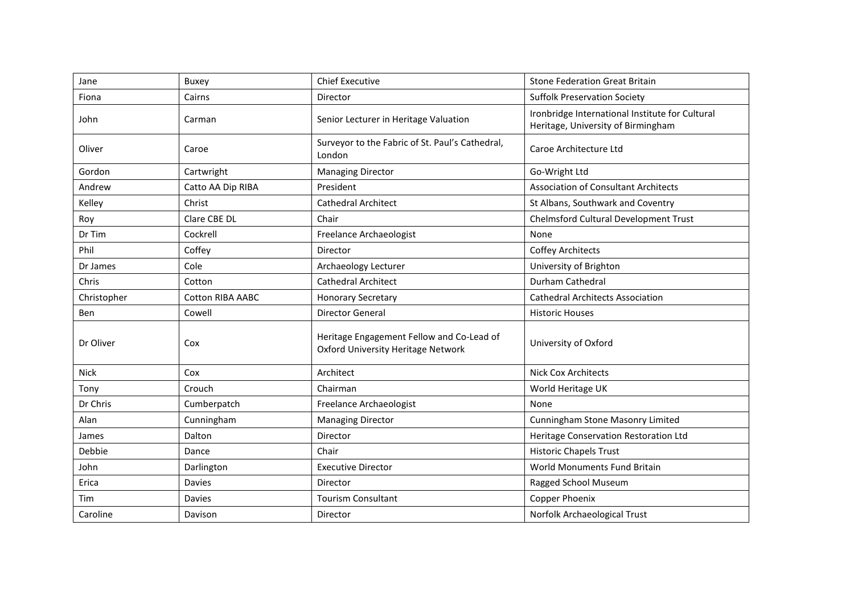| Jane        | <b>Buxey</b>            | <b>Chief Executive</b>                                                                 | <b>Stone Federation Great Britain</b>                                                 |
|-------------|-------------------------|----------------------------------------------------------------------------------------|---------------------------------------------------------------------------------------|
| Fiona       | Cairns                  | Director                                                                               | <b>Suffolk Preservation Society</b>                                                   |
| John        | Carman                  | Senior Lecturer in Heritage Valuation                                                  | Ironbridge International Institute for Cultural<br>Heritage, University of Birmingham |
| Oliver      | Caroe                   | Surveyor to the Fabric of St. Paul's Cathedral,<br>London                              | Caroe Architecture Ltd                                                                |
| Gordon      | Cartwright              | <b>Managing Director</b>                                                               | Go-Wright Ltd                                                                         |
| Andrew      | Catto AA Dip RIBA       | President                                                                              | <b>Association of Consultant Architects</b>                                           |
| Kelley      | Christ                  | <b>Cathedral Architect</b>                                                             | St Albans, Southwark and Coventry                                                     |
| Roy         | Clare CBE DL            | Chair                                                                                  | Chelmsford Cultural Development Trust                                                 |
| Dr Tim      | Cockrell                | Freelance Archaeologist                                                                | None                                                                                  |
| Phil        | Coffey                  | Director                                                                               | <b>Coffey Architects</b>                                                              |
| Dr James    | Cole                    | Archaeology Lecturer                                                                   | University of Brighton                                                                |
| Chris       | Cotton                  | <b>Cathedral Architect</b>                                                             | Durham Cathedral                                                                      |
| Christopher | <b>Cotton RIBA AABC</b> | <b>Honorary Secretary</b>                                                              | <b>Cathedral Architects Association</b>                                               |
| Ben         | Cowell                  | <b>Director General</b>                                                                | <b>Historic Houses</b>                                                                |
| Dr Oliver   | Cox                     | Heritage Engagement Fellow and Co-Lead of<br><b>Oxford University Heritage Network</b> | University of Oxford                                                                  |
| <b>Nick</b> | Cox                     | Architect                                                                              | <b>Nick Cox Architects</b>                                                            |
| Tony        | Crouch                  | Chairman                                                                               | World Heritage UK                                                                     |
| Dr Chris    | Cumberpatch             | Freelance Archaeologist                                                                | None                                                                                  |
| Alan        | Cunningham              | <b>Managing Director</b>                                                               | Cunningham Stone Masonry Limited                                                      |
| James       | Dalton                  | Director                                                                               | Heritage Conservation Restoration Ltd                                                 |
| Debbie      | Dance                   | Chair                                                                                  | <b>Historic Chapels Trust</b>                                                         |
| John        | Darlington              | <b>Executive Director</b>                                                              | World Monuments Fund Britain                                                          |
| Erica       | Davies                  | Director                                                                               | Ragged School Museum                                                                  |
| Tim         | Davies                  | <b>Tourism Consultant</b>                                                              | Copper Phoenix                                                                        |
| Caroline    | Davison                 | Director                                                                               | Norfolk Archaeological Trust                                                          |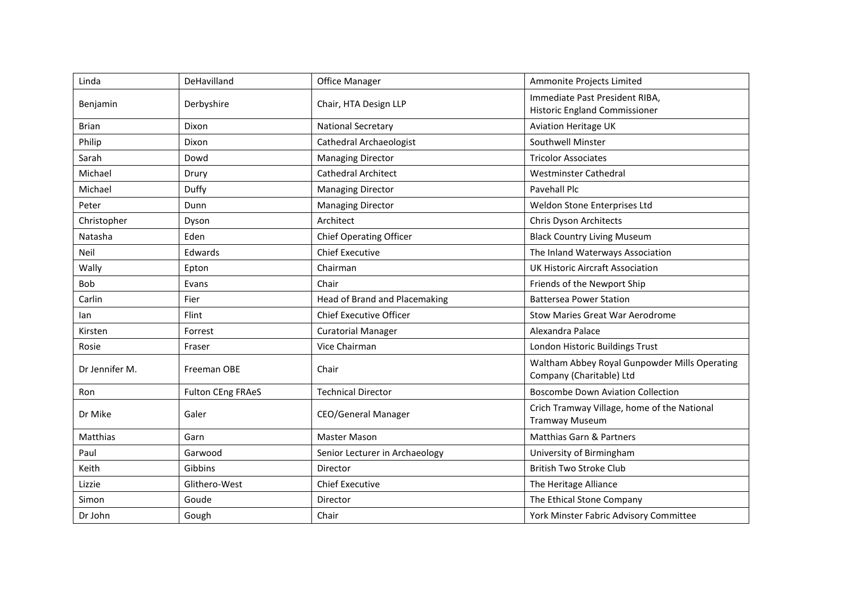| Linda          | DeHavilland              | <b>Office Manager</b>                | Ammonite Projects Limited                                                 |
|----------------|--------------------------|--------------------------------------|---------------------------------------------------------------------------|
| Benjamin       | Derbyshire               | Chair, HTA Design LLP                | Immediate Past President RIBA,<br><b>Historic England Commissioner</b>    |
| <b>Brian</b>   | Dixon                    | <b>National Secretary</b>            | <b>Aviation Heritage UK</b>                                               |
| Philip         | Dixon                    | Cathedral Archaeologist              | Southwell Minster                                                         |
| Sarah          | Dowd                     | <b>Managing Director</b>             | <b>Tricolor Associates</b>                                                |
| Michael        | Drury                    | <b>Cathedral Architect</b>           | Westminster Cathedral                                                     |
| Michael        | Duffy                    | <b>Managing Director</b>             | Pavehall Plc                                                              |
| Peter          | Dunn                     | <b>Managing Director</b>             | Weldon Stone Enterprises Ltd                                              |
| Christopher    | Dyson                    | Architect                            | Chris Dyson Architects                                                    |
| Natasha        | Eden                     | <b>Chief Operating Officer</b>       | <b>Black Country Living Museum</b>                                        |
| Neil           | Edwards                  | <b>Chief Executive</b>               | The Inland Waterways Association                                          |
| Wally          | Epton                    | Chairman                             | <b>UK Historic Aircraft Association</b>                                   |
| Bob            | Evans                    | Chair                                | Friends of the Newport Ship                                               |
| Carlin         | Fier                     | <b>Head of Brand and Placemaking</b> | <b>Battersea Power Station</b>                                            |
| lan            | Flint                    | <b>Chief Executive Officer</b>       | Stow Maries Great War Aerodrome                                           |
| Kirsten        | Forrest                  | <b>Curatorial Manager</b>            | Alexandra Palace                                                          |
| Rosie          | Fraser                   | Vice Chairman                        | London Historic Buildings Trust                                           |
| Dr Jennifer M. | Freeman OBE              | Chair                                | Waltham Abbey Royal Gunpowder Mills Operating<br>Company (Charitable) Ltd |
| Ron            | <b>Fulton CEng FRAeS</b> | <b>Technical Director</b>            | <b>Boscombe Down Aviation Collection</b>                                  |
| Dr Mike        | Galer                    | <b>CEO/General Manager</b>           | Crich Tramway Village, home of the National<br><b>Tramway Museum</b>      |
| Matthias       | Garn                     | Master Mason                         | Matthias Garn & Partners                                                  |
| Paul           | Garwood                  | Senior Lecturer in Archaeology       | University of Birmingham                                                  |
| Keith          | Gibbins                  | Director                             | <b>British Two Stroke Club</b>                                            |
| Lizzie         | Glithero-West            | <b>Chief Executive</b>               | The Heritage Alliance                                                     |
| Simon          | Goude                    | Director                             | The Ethical Stone Company                                                 |
| Dr John        | Gough                    | Chair                                | York Minster Fabric Advisory Committee                                    |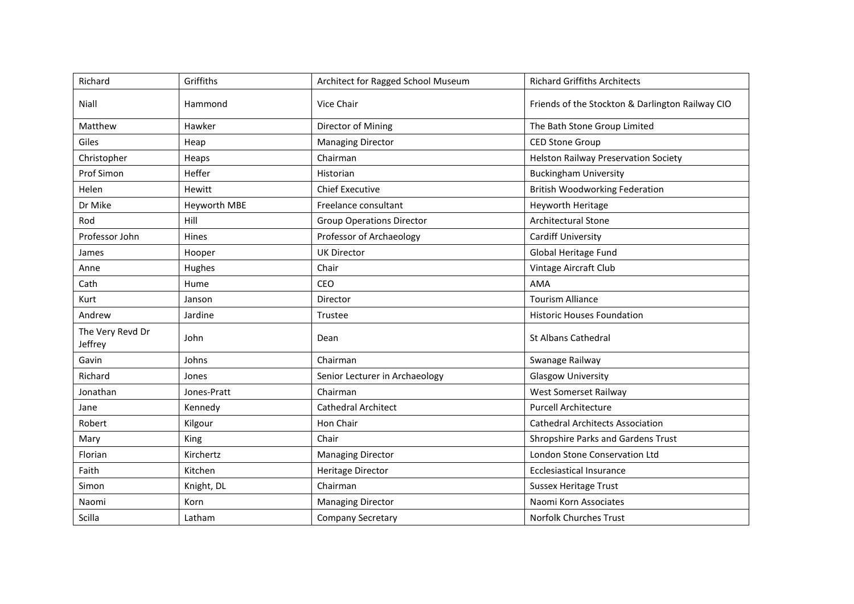| Richard                     | Griffiths    | Architect for Ragged School Museum | <b>Richard Griffiths Architects</b>              |
|-----------------------------|--------------|------------------------------------|--------------------------------------------------|
| Niall                       | Hammond      | Vice Chair                         | Friends of the Stockton & Darlington Railway CIO |
| Matthew                     | Hawker       | Director of Mining                 | The Bath Stone Group Limited                     |
| Giles                       | Heap         | <b>Managing Director</b>           | <b>CED Stone Group</b>                           |
| Christopher                 | Heaps        | Chairman                           | Helston Railway Preservation Society             |
| Prof Simon                  | Heffer       | Historian                          | <b>Buckingham University</b>                     |
| Helen                       | Hewitt       | <b>Chief Executive</b>             | <b>British Woodworking Federation</b>            |
| Dr Mike                     | Heyworth MBE | Freelance consultant               | Heyworth Heritage                                |
| Rod                         | Hill         | <b>Group Operations Director</b>   | Architectural Stone                              |
| Professor John              | Hines        | Professor of Archaeology           | Cardiff University                               |
| James                       | Hooper       | <b>UK Director</b>                 | Global Heritage Fund                             |
| Anne                        | Hughes       | Chair                              | Vintage Aircraft Club                            |
| Cath                        | Hume         | <b>CEO</b>                         | <b>AMA</b>                                       |
| Kurt                        | Janson       | Director                           | <b>Tourism Alliance</b>                          |
| Andrew                      | Jardine      | Trustee                            | <b>Historic Houses Foundation</b>                |
| The Very Revd Dr<br>Jeffrey | John         | Dean                               | <b>St Albans Cathedral</b>                       |
| Gavin                       | Johns        | Chairman                           | Swanage Railway                                  |
| Richard                     | Jones        | Senior Lecturer in Archaeology     | Glasgow University                               |
| Jonathan                    | Jones-Pratt  | Chairman                           | West Somerset Railway                            |
| Jane                        | Kennedy      | <b>Cathedral Architect</b>         | <b>Purcell Architecture</b>                      |
| Robert                      | Kilgour      | Hon Chair                          | <b>Cathedral Architects Association</b>          |
| Mary                        | King         | Chair                              | Shropshire Parks and Gardens Trust               |
| Florian                     | Kirchertz    | <b>Managing Director</b>           | London Stone Conservation Ltd                    |
| Faith                       | Kitchen      | <b>Heritage Director</b>           | <b>Ecclesiastical Insurance</b>                  |
| Simon                       | Knight, DL   | Chairman                           | <b>Sussex Heritage Trust</b>                     |
| Naomi                       | Korn         | <b>Managing Director</b>           | Naomi Korn Associates                            |
| Scilla                      | Latham       | <b>Company Secretary</b>           | <b>Norfolk Churches Trust</b>                    |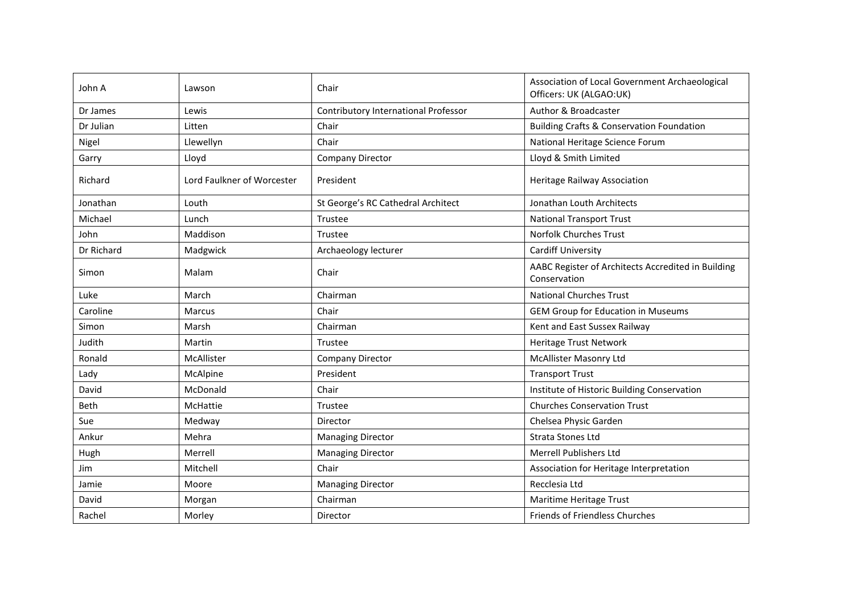| John A     | Lawson                     | Chair                                | Association of Local Government Archaeological<br>Officers: UK (ALGAO:UK) |
|------------|----------------------------|--------------------------------------|---------------------------------------------------------------------------|
| Dr James   | Lewis                      | Contributory International Professor | Author & Broadcaster                                                      |
| Dr Julian  | Litten                     | Chair                                | <b>Building Crafts &amp; Conservation Foundation</b>                      |
| Nigel      | Llewellyn                  | Chair                                | National Heritage Science Forum                                           |
| Garry      | Lloyd                      | <b>Company Director</b>              | Lloyd & Smith Limited                                                     |
| Richard    | Lord Faulkner of Worcester | President                            | Heritage Railway Association                                              |
| Jonathan   | Louth                      | St George's RC Cathedral Architect   | Jonathan Louth Architects                                                 |
| Michael    | Lunch                      | Trustee                              | <b>National Transport Trust</b>                                           |
| John       | Maddison                   | Trustee                              | <b>Norfolk Churches Trust</b>                                             |
| Dr Richard | Madgwick                   | Archaeology lecturer                 | Cardiff University                                                        |
| Simon      | Malam                      | Chair                                | AABC Register of Architects Accredited in Building<br>Conservation        |
| Luke       | March                      | Chairman                             | <b>National Churches Trust</b>                                            |
| Caroline   | <b>Marcus</b>              | Chair                                | GEM Group for Education in Museums                                        |
| Simon      | Marsh                      | Chairman                             | Kent and East Sussex Railway                                              |
| Judith     | Martin                     | Trustee                              | Heritage Trust Network                                                    |
| Ronald     | McAllister                 | <b>Company Director</b>              | <b>McAllister Masonry Ltd</b>                                             |
| Lady       | McAlpine                   | President                            | <b>Transport Trust</b>                                                    |
| David      | McDonald                   | Chair                                | Institute of Historic Building Conservation                               |
| Beth       | McHattie                   | Trustee                              | <b>Churches Conservation Trust</b>                                        |
| Sue        | Medway                     | Director                             | Chelsea Physic Garden                                                     |
| Ankur      | Mehra                      | <b>Managing Director</b>             | <b>Strata Stones Ltd</b>                                                  |
| Hugh       | Merrell                    | <b>Managing Director</b>             | Merrell Publishers Ltd                                                    |
| Jim        | Mitchell                   | Chair                                | Association for Heritage Interpretation                                   |
| Jamie      | Moore                      | <b>Managing Director</b>             | Recclesia Ltd                                                             |
| David      | Morgan                     | Chairman                             | Maritime Heritage Trust                                                   |
| Rachel     | Morley                     | Director                             | Friends of Friendless Churches                                            |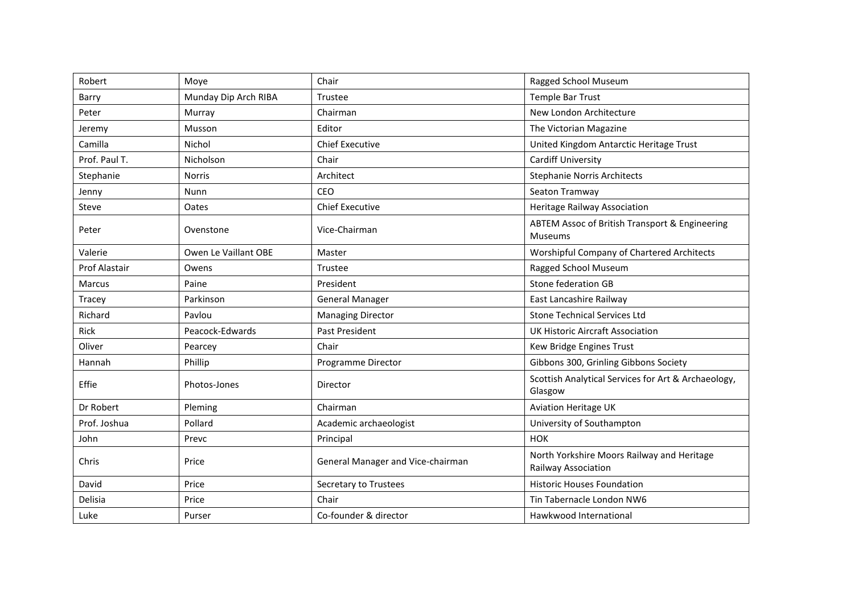| Robert               | Moye                 | Chair                             | <b>Ragged School Museum</b>                                       |
|----------------------|----------------------|-----------------------------------|-------------------------------------------------------------------|
| Barry                | Munday Dip Arch RIBA | Trustee                           | Temple Bar Trust                                                  |
| Peter                | Murray               | Chairman                          | New London Architecture                                           |
| Jeremy               | Musson               | Editor                            | The Victorian Magazine                                            |
| Camilla              | Nichol               | <b>Chief Executive</b>            | United Kingdom Antarctic Heritage Trust                           |
| Prof. Paul T.        | Nicholson            | Chair                             | <b>Cardiff University</b>                                         |
| Stephanie            | <b>Norris</b>        | Architect                         | <b>Stephanie Norris Architects</b>                                |
| Jenny                | Nunn                 | CEO                               | Seaton Tramway                                                    |
| Steve                | Oates                | <b>Chief Executive</b>            | Heritage Railway Association                                      |
| Peter                | Ovenstone            | Vice-Chairman                     | ABTEM Assoc of British Transport & Engineering<br><b>Museums</b>  |
| Valerie              | Owen Le Vaillant OBE | Master                            | Worshipful Company of Chartered Architects                        |
| <b>Prof Alastair</b> | Owens                | Trustee                           | Ragged School Museum                                              |
| Marcus               | Paine                | President                         | Stone federation GB                                               |
| Tracey               | Parkinson            | <b>General Manager</b>            | East Lancashire Railway                                           |
| Richard              | Pavlou               | <b>Managing Director</b>          | <b>Stone Technical Services Ltd</b>                               |
| Rick                 | Peacock-Edwards      | Past President                    | UK Historic Aircraft Association                                  |
| Oliver               | Pearcey              | Chair                             | Kew Bridge Engines Trust                                          |
| Hannah               | Phillip              | Programme Director                | Gibbons 300, Grinling Gibbons Society                             |
| Effie                | Photos-Jones         | Director                          | Scottish Analytical Services for Art & Archaeology,<br>Glasgow    |
| Dr Robert            | Pleming              | Chairman                          | <b>Aviation Heritage UK</b>                                       |
| Prof. Joshua         | Pollard              | Academic archaeologist            | University of Southampton                                         |
| John                 | Prevc                | Principal                         | <b>HOK</b>                                                        |
| Chris                | Price                | General Manager and Vice-chairman | North Yorkshire Moors Railway and Heritage<br>Railway Association |
| David                | Price                | Secretary to Trustees             | <b>Historic Houses Foundation</b>                                 |
| Delisia              | Price                | Chair                             | Tin Tabernacle London NW6                                         |
| Luke                 | Purser               | Co-founder & director             | Hawkwood International                                            |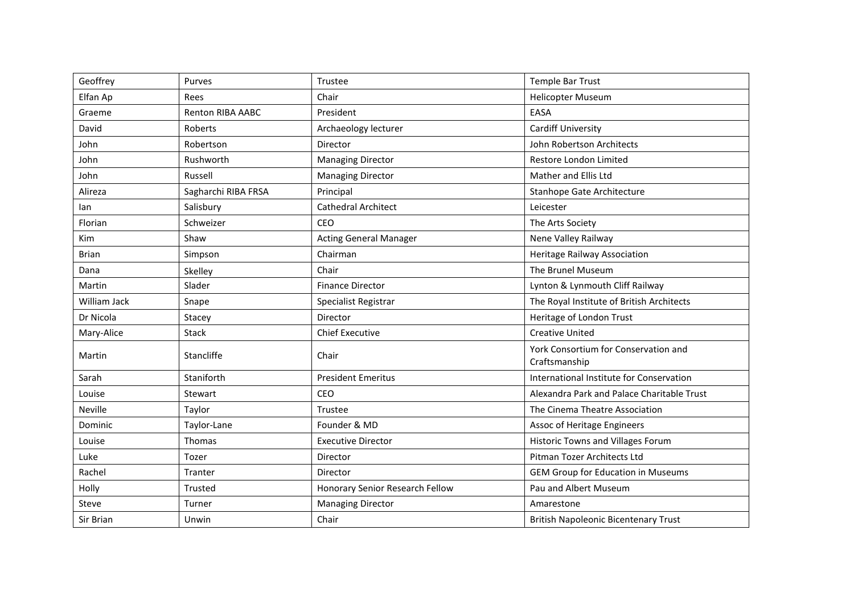| Geoffrey     | Purves              | Trustee                         | <b>Temple Bar Trust</b>                               |
|--------------|---------------------|---------------------------------|-------------------------------------------------------|
| Elfan Ap     | Rees                | Chair                           | <b>Helicopter Museum</b>                              |
| Graeme       | Renton RIBA AABC    | President                       | EASA                                                  |
| David        | Roberts             | Archaeology lecturer            | <b>Cardiff University</b>                             |
| John         | Robertson           | Director                        | John Robertson Architects                             |
| John         | Rushworth           | <b>Managing Director</b>        | Restore London Limited                                |
| John         | Russell             | <b>Managing Director</b>        | Mather and Ellis Ltd                                  |
| Alireza      | Sagharchi RIBA FRSA | Principal                       | Stanhope Gate Architecture                            |
| lan          | Salisbury           | <b>Cathedral Architect</b>      | Leicester                                             |
| Florian      | Schweizer           | <b>CEO</b>                      | The Arts Society                                      |
| Kim          | Shaw                | <b>Acting General Manager</b>   | Nene Valley Railway                                   |
| <b>Brian</b> | Simpson             | Chairman                        | Heritage Railway Association                          |
| Dana         | Skelley             | Chair                           | The Brunel Museum                                     |
| Martin       | Slader              | <b>Finance Director</b>         | Lynton & Lynmouth Cliff Railway                       |
| William Jack | Snape               | Specialist Registrar            | The Royal Institute of British Architects             |
| Dr Nicola    | Stacey              | Director                        | Heritage of London Trust                              |
| Mary-Alice   | <b>Stack</b>        | <b>Chief Executive</b>          | <b>Creative United</b>                                |
| Martin       | Stancliffe          | Chair                           | York Consortium for Conservation and<br>Craftsmanship |
| Sarah        | Staniforth          | <b>President Emeritus</b>       | International Institute for Conservation              |
| Louise       | Stewart             | CEO                             | Alexandra Park and Palace Charitable Trust            |
| Neville      | Taylor              | Trustee                         | The Cinema Theatre Association                        |
| Dominic      | Taylor-Lane         | Founder & MD                    | Assoc of Heritage Engineers                           |
| Louise       | Thomas              | <b>Executive Director</b>       | <b>Historic Towns and Villages Forum</b>              |
| Luke         | Tozer               | Director                        | Pitman Tozer Architects Ltd                           |
| Rachel       | Tranter             | Director                        | <b>GEM Group for Education in Museums</b>             |
| Holly        | Trusted             | Honorary Senior Research Fellow | Pau and Albert Museum                                 |
| Steve        | Turner              | <b>Managing Director</b>        | Amarestone                                            |
| Sir Brian    | Unwin               | Chair                           | <b>British Napoleonic Bicentenary Trust</b>           |